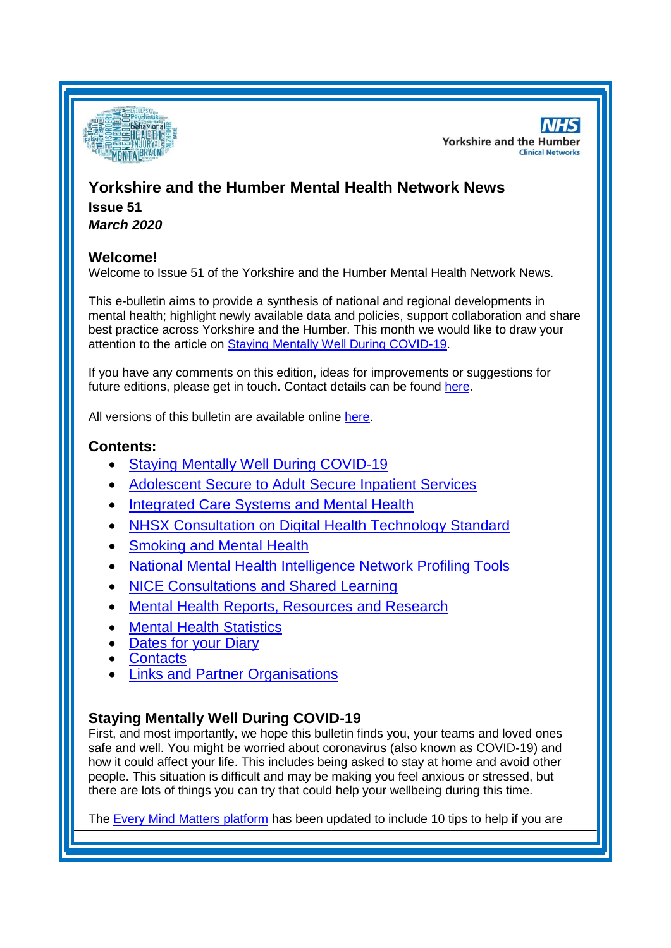

**NHS Yorkshire and the Humber Clinical Networks** 

# **Yorkshire and the Humber Mental Health Network News Issue 51** *March 2020*

# **Welcome!**

Welcome to Issue 51 of the Yorkshire and the Humber Mental Health Network News.

This e-bulletin aims to provide a synthesis of national and regional developments in mental health; highlight newly available data and policies, support collaboration and share best practice across Yorkshire and the Humber. This month we would like to draw your attention to the article on [Staying Mentally Well During COVID-19.](#page-0-0)

If you have any comments on this edition, ideas for improvements or suggestions for future editions, please get in touch. Contact details can be found [here.](#page-6-0)

All versions of this bulletin are available online [here.](http://www.yhscn.nhs.uk/mental-health-clinic/mental-health-network/MH-documents-and-links.php)

## **Contents:**

- [Staying Mentally Well During COVID-19](#page-0-0)
- [Adolescent Secure to Adult Secure Inpatient Services](#page-0-0)
- **[Integrated Care Systems and Mental Health](#page-0-0)**
- [NHSX Consultation on Digital Health Technology Standard](#page-1-0)
- [Smoking and Mental Health](#page-2-0)
- [National Mental Health Intelligence Network Profiling Tools](#page-0-1)
- [NICE Consultations and Shared Learning](#page-2-1)
- [Mental Health Reports, Resources and](#page-2-1) Research
- [Mental Health Statistics](#page-5-0)
- [Dates for your Diary](#page-5-1)
- [Contacts](#page-6-0)
- **[Links and Partner Organisations](#page-6-1)**

# <span id="page-0-1"></span><span id="page-0-0"></span>**Staying Mentally Well During COVID-19**

First, and most importantly, we hope this bulletin finds you, your teams and loved ones safe and well. You might be worried about coronavirus (also known as COVID-19) and how it could affect your life. This includes being asked to stay at home and avoid other people. This situation is difficult and may be making you feel anxious or stressed, but there are lots of things you can try that could help your wellbeing during this time.

The [Every Mind Matters platform](https://www.nhs.uk/oneyou/every-mind-matters/) has been updated to include 10 tips to help if you are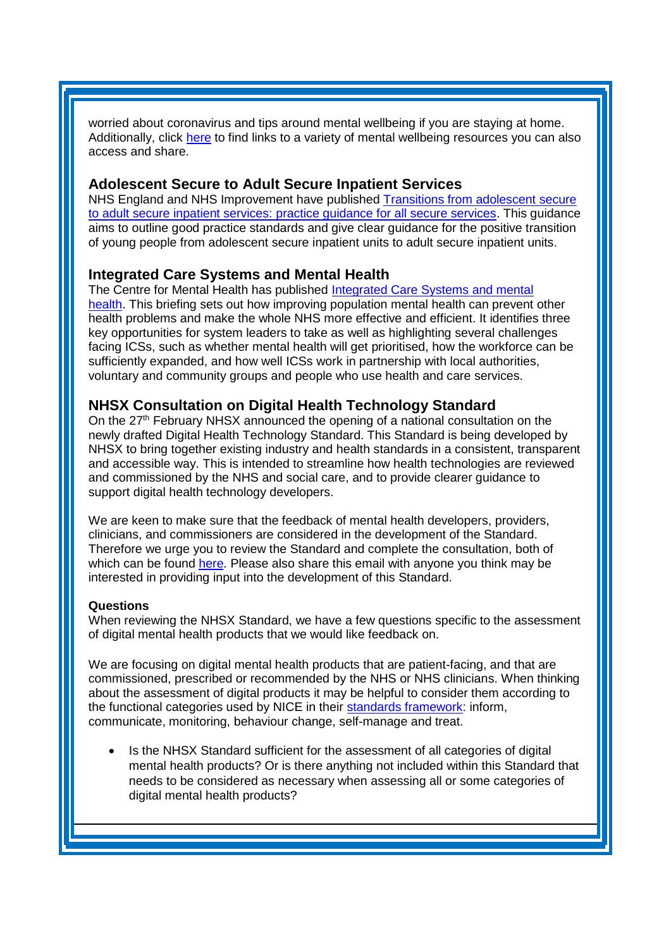worried about coronavirus and tips around mental wellbeing if you are staying at home. Additionally, click [here](http://www.yhscn.nhs.uk/mental-health-clinic/mental-health-network/COVID-19andMentalHealth.php) to find links to a variety of mental wellbeing resources you can also access and share.

#### **Adolescent Secure to Adult Secure Inpatient Services**

NHS England and NHS Improvement have published Transitions from [adolescent secure](https://www.england.nhs.uk/publication/transitions-from-adolescent-secure-to-adult-secure-inpatient-services-practice-guidance-for-all-secure-services/)  [to adult secure inpatient services: practice guidance for all secure services.](https://www.england.nhs.uk/publication/transitions-from-adolescent-secure-to-adult-secure-inpatient-services-practice-guidance-for-all-secure-services/) This guidance aims to outline good practice standards and give clear guidance for the positive transition of young people from adolescent secure inpatient units to adult secure inpatient units.

### **Integrated Care Systems and Mental Health**

The Centre for Mental Health has published [Integrated Care Systems and mental](https://www.centreformentalhealth.org.uk/integrated-care-systems)  [health.](https://www.centreformentalhealth.org.uk/integrated-care-systems) This briefing sets out how improving population mental health can prevent other health problems and make the whole NHS more effective and efficient. It identifies three key opportunities for system leaders to take as well as highlighting several challenges facing ICSs, such as whether mental health will get prioritised, how the workforce can be sufficiently expanded, and how well ICSs work in partnership with local authorities, voluntary and community groups and people who use health and care services.

## <span id="page-1-0"></span>**NHSX Consultation on Digital Health Technology Standard**

On the 27<sup>th</sup> February NHSX announced the opening of a national consultation on the newly drafted Digital Health Technology Standard. This Standard is being developed by NHSX to bring together existing industry and health standards in a consistent, transparent and accessible way. This is intended to streamline how health technologies are reviewed and commissioned by the NHS and social care, and to provide clearer guidance to support digital health technology developers.

We are keen to make sure that the feedback of mental health developers, providers, clinicians, and commissioners are considered in the development of the Standard. Therefore we urge you to review the Standard and complete the consultation, both of which can be found [here.](https://eur02.safelinks.protection.outlook.com/?url=https%3A%2F%2Fwww.nhsx.nhs.uk%2Fkey-information-and-tools%2Fdesigning-and-building-products-and-services&data=01%7C01%7Cpeter.garland%40bdct.nhs.uk%7Cacdf5e80e2b3447e61b108d7c03012fe%7Cf377edd1c32a465086639fc3ec794b84%7C1&sdata=Qr4W54q2clqPUOmQPkhvBHdj59FKhCNwK0mFq779f7Q%3D&reserved=0) Please also share this email with anyone you think may be interested in providing input into the development of this Standard.

#### **Questions**

When reviewing the NHSX Standard, we have a few questions specific to the assessment of digital mental health products that we would like feedback on.

We are focusing on digital mental health products that are patient-facing, and that are commissioned, prescribed or recommended by the NHS or NHS clinicians. When thinking about the assessment of digital products it may be helpful to consider them according to the functional categories used by NICE in their [standards framework:](https://eur02.safelinks.protection.outlook.com/?url=https%3A%2F%2Fwww.nice.org.uk%2Fabout%2Fwhat-we-do%2Four-programmes%2Fevidence-standards-framework-for-digital-health-technologies&data=01%7C01%7Cpeter.garland%40bdct.nhs.uk%7Cacdf5e80e2b3447e61b108d7c03012fe%7Cf377edd1c32a465086639fc3ec794b84%7C1&sdata=gYzBNbcRIu5ufjilCpYDPnXDHv8wuXyQUrR%2F6g9ZalY%3D&reserved=0) inform, communicate, monitoring, behaviour change, self-manage and treat.

• Is the NHSX Standard sufficient for the assessment of all categories of digital mental health products? Or is there anything not included within this Standard that needs to be considered as necessary when assessing all or some categories of digital mental health products?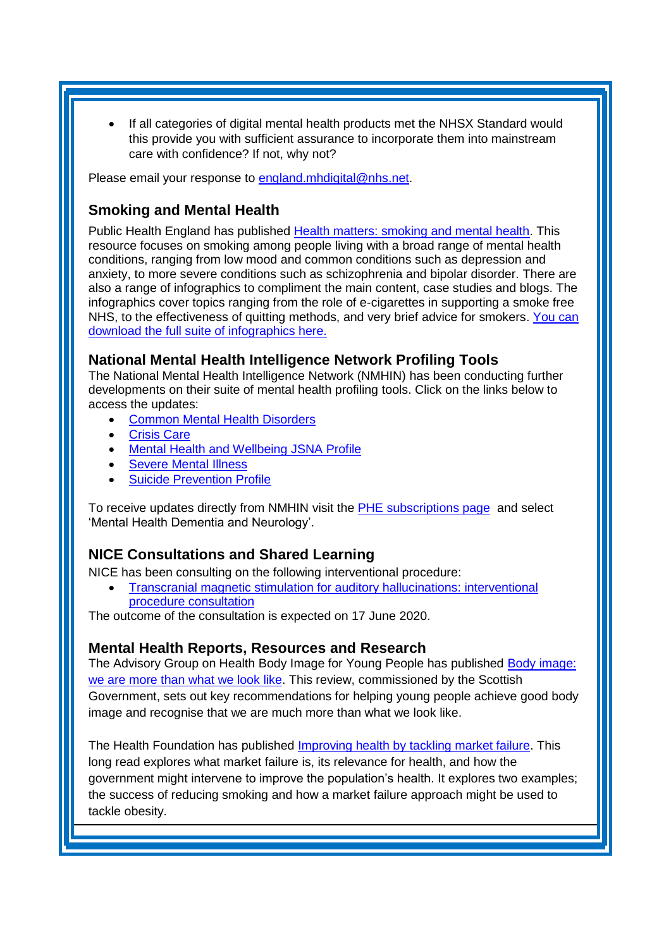If all categories of digital mental health products met the NHSX Standard would this provide you with sufficient assurance to incorporate them into mainstream care with confidence? If not, why not?

Please email your response to [england.mhdigital@nhs.net.](mailto:england.mhdigital@nhs.net)

## <span id="page-2-0"></span>**Smoking and Mental Health**

Public Health England has published [Health matters: smoking and mental health.](https://www.gov.uk/government/publications/health-matters-smoking-and-mental-health) This resource focuses on smoking among people living with a broad range of mental health conditions, ranging from low mood and common conditions such as depression and anxiety, to more severe conditions such as schizophrenia and bipolar disorder. There are also a range of infographics to compliment the main content, case studies and blogs. The infographics cover topics ranging from the role of e-cigarettes in supporting a smoke free NHS, to the effectiveness of quitting methods, and very brief advice for smokers. [You can](https://lnks.gd/l/eyJhbGciOiJIUzI1NiJ9.eyJidWxsZXRpbl9saW5rX2lkIjoxMDQsInVyaSI6ImJwMjpjbGljayIsImJ1bGxldGluX2lkIjoiMjAyMDAzMDUuMTgyMzU0ODEiLCJ1cmwiOiJodHRwczovL2todWIubmV0L3dlYi9waGUtbmF0aW9uYWwvcHVibGljLWxpYnJhcnkvLS9kb2N1bWVudF9saWJyYXJ5L3YyV3NSSzNabEVpZy92aWV3LzI4NTAwNDkxMj9fY29tX2xpZmVyYXlfZG9jdW1lbnRfbGlicmFyeV93ZWJfcG9ydGxldF9ETFBvcnRsZXRfSU5TVEFOQ0VfdjJXc1JLM1psRWlnX3JlZGlyZWN0PWh0dHBzJTNBJTJGJTJGa2h1Yi5uZXQlM0E0NDMlMkZ3ZWIlMkZwaGUtbmF0aW9uYWwlMkZwdWJsaWMtbGlicmFyeSUyRi0lMkZkb2N1bWVudF9saWJyYXJ5JTJGdjJXc1JLM1psRWlnJTJGdmlldyUyRjI4NDY4NzQ4MSJ9.cKGBThDVCX5XbhueViqFkBxLvGyx2J92xDrkcBNBSxc/br/75723454775-l)  [download the full suite of infographics here.](https://lnks.gd/l/eyJhbGciOiJIUzI1NiJ9.eyJidWxsZXRpbl9saW5rX2lkIjoxMDQsInVyaSI6ImJwMjpjbGljayIsImJ1bGxldGluX2lkIjoiMjAyMDAzMDUuMTgyMzU0ODEiLCJ1cmwiOiJodHRwczovL2todWIubmV0L3dlYi9waGUtbmF0aW9uYWwvcHVibGljLWxpYnJhcnkvLS9kb2N1bWVudF9saWJyYXJ5L3YyV3NSSzNabEVpZy92aWV3LzI4NTAwNDkxMj9fY29tX2xpZmVyYXlfZG9jdW1lbnRfbGlicmFyeV93ZWJfcG9ydGxldF9ETFBvcnRsZXRfSU5TVEFOQ0VfdjJXc1JLM1psRWlnX3JlZGlyZWN0PWh0dHBzJTNBJTJGJTJGa2h1Yi5uZXQlM0E0NDMlMkZ3ZWIlMkZwaGUtbmF0aW9uYWwlMkZwdWJsaWMtbGlicmFyeSUyRi0lMkZkb2N1bWVudF9saWJyYXJ5JTJGdjJXc1JLM1psRWlnJTJGdmlldyUyRjI4NDY4NzQ4MSJ9.cKGBThDVCX5XbhueViqFkBxLvGyx2J92xDrkcBNBSxc/br/75723454775-l)

### **National Mental Health Intelligence Network Profiling Tools**

The National Mental Health Intelligence Network (NMHIN) has been conducting further developments on their suite of mental health profiling tools. Click on the links below to access the updates:

- [Common Mental Health Disorders](http://links.govdelivery.com/track?type=click&enid=ZWFzPTEmbXNpZD0mYXVpZD0mbWFpbGluZ2lkPTIwMTcxMjA1LjgxOTE2MDgxJm1lc3NhZ2VpZD1NREItUFJELUJVTC0yMDE3MTIwNS44MTkxNjA4MSZkYXRhYmFzZWlkPTEwMDEmc2VyaWFsPTE2OTcwMTE4JmVtYWlsaWQ9c2FyYWguYm91bEBuaHMubmV0JnVzZXJpZD1zYXJhaC5ib3VsQG5ocy5uZXQmdGFyZ2V0aWQ9JmZsPSZleHRyYT1NdWx0aXZhcmlhdGVJZD0mJiY=&&&104&&&https://fingertips.phe.org.uk/profile-group/mental-health/profile/common-mental-disorders)
- [Crisis Care](http://links.govdelivery.com/track?type=click&enid=ZWFzPTEmbXNpZD0mYXVpZD0mbWFpbGluZ2lkPTIwMTcxMjA1LjgxOTE2MDgxJm1lc3NhZ2VpZD1NREItUFJELUJVTC0yMDE3MTIwNS44MTkxNjA4MSZkYXRhYmFzZWlkPTEwMDEmc2VyaWFsPTE2OTcwMTE4JmVtYWlsaWQ9c2FyYWguYm91bEBuaHMubmV0JnVzZXJpZD1zYXJhaC5ib3VsQG5ocy5uZXQmdGFyZ2V0aWQ9JmZsPSZleHRyYT1NdWx0aXZhcmlhdGVJZD0mJiY=&&&105&&&https://fingertips.phe.org.uk/profile-group/mental-health/profile/crisis-care)
- [Mental Health and Wellbeing JSNA Profile](http://links.govdelivery.com/track?type=click&enid=ZWFzPTEmbXNpZD0mYXVpZD0mbWFpbGluZ2lkPTIwMTcxMjA1LjgxOTE2MDgxJm1lc3NhZ2VpZD1NREItUFJELUJVTC0yMDE3MTIwNS44MTkxNjA4MSZkYXRhYmFzZWlkPTEwMDEmc2VyaWFsPTE2OTcwMTE4JmVtYWlsaWQ9c2FyYWguYm91bEBuaHMubmV0JnVzZXJpZD1zYXJhaC5ib3VsQG5ocy5uZXQmdGFyZ2V0aWQ9JmZsPSZleHRyYT1NdWx0aXZhcmlhdGVJZD0mJiY=&&&106&&&https://fingertips.phe.org.uk/profile-group/mental-health/profile/mh-jsna)
- [Severe Mental](http://links.govdelivery.com/track?type=click&enid=ZWFzPTEmbXNpZD0mYXVpZD0mbWFpbGluZ2lkPTIwMTcxMjA1LjgxOTE2MDgxJm1lc3NhZ2VpZD1NREItUFJELUJVTC0yMDE3MTIwNS44MTkxNjA4MSZkYXRhYmFzZWlkPTEwMDEmc2VyaWFsPTE2OTcwMTE4JmVtYWlsaWQ9c2FyYWguYm91bEBuaHMubmV0JnVzZXJpZD1zYXJhaC5ib3VsQG5ocy5uZXQmdGFyZ2V0aWQ9JmZsPSZleHRyYT1NdWx0aXZhcmlhdGVJZD0mJiY=&&&108&&&https://fingertips.phe.org.uk/profile-group/mental-health/profile/severe-mental-illness) Illness
- **[Suicide Prevention Profile](http://links.govdelivery.com/track?type=click&enid=ZWFzPTEmbXNpZD0mYXVpZD0mbWFpbGluZ2lkPTIwMTgwNjA1LjkwNzEwNzExJm1lc3NhZ2VpZD1NREItUFJELUJVTC0yMDE4MDYwNS45MDcxMDcxMSZkYXRhYmFzZWlkPTEwMDEmc2VyaWFsPTE3MDEzODU4JmVtYWlsaWQ9c2FyYWguYm91bEBuaHMubmV0JnVzZXJpZD1zYXJhaC5ib3VsQG5ocy5uZXQmdGFyZ2V0aWQ9JmZsPSZleHRyYT1NdWx0aXZhcmlhdGVJZD0mJiY=&&&104&&&https://fingertips.phe.org.uk/profile-group/mental-health/profile/suicide)**

To receive updates directly from NMHIN visit the [PHE subscriptions page](http://links.govdelivery.com/track?type=click&enid=ZWFzPTEmbXNpZD0mYXVpZD0mbWFpbGluZ2lkPTIwMTgwMjA3Ljg0OTY1MzgxJm1lc3NhZ2VpZD1NREItUFJELUJVTC0yMDE4MDIwNy44NDk2NTM4MSZkYXRhYmFzZWlkPTEwMDEmc2VyaWFsPTE2OTgzNDk5JmVtYWlsaWQ9c2FyYWguYm91bEBuaHMubmV0JnVzZXJpZD1zYXJhaC5ib3VsQG5ocy5uZXQmdGFyZ2V0aWQ9JmZsPSZleHRyYT1NdWx0aXZhcmlhdGVJZD0mJiY=&&&107&&&https://public.govdelivery.com/accounts/UKHPA/subscribers/new?preferences=true) and select 'Mental Health Dementia and Neurology'.

## <span id="page-2-1"></span>**NICE Consultations and Shared Learning**

NICE has been consulting on the following interventional procedure:

• [Transcranial magnetic stimulation for auditory hallucinations: interventional](https://www.nice.org.uk/guidance/indevelopment/gid-ipg10141/consultation/html-content)  [procedure consultation](https://www.nice.org.uk/guidance/indevelopment/gid-ipg10141/consultation/html-content)

The outcome of the consultation is expected on 17 June 2020.

### **Mental Health Reports, Resources and Research**

The Advisory Group on Health Body Image for Young People has published [Body image:](https://www.mentalhealth.org.uk/publications/body-image-we-are-more-what-we-look)  we are more than what we look like</u>. This review, commissioned by the Scottish Government, sets out key recommendations for helping young people achieve good body image and recognise that we are much more than what we look like.

The Health Foundation has published [Improving health by tackling market failure.](https://www.health.org.uk/news-and-comment/blogs/improving-health-by-tackling-market-failure) This long read explores what market failure is, its relevance for health, and how the government might intervene to improve the population's health. It explores two examples; the success of reducing smoking and how a market failure approach might be used to tackle obesity.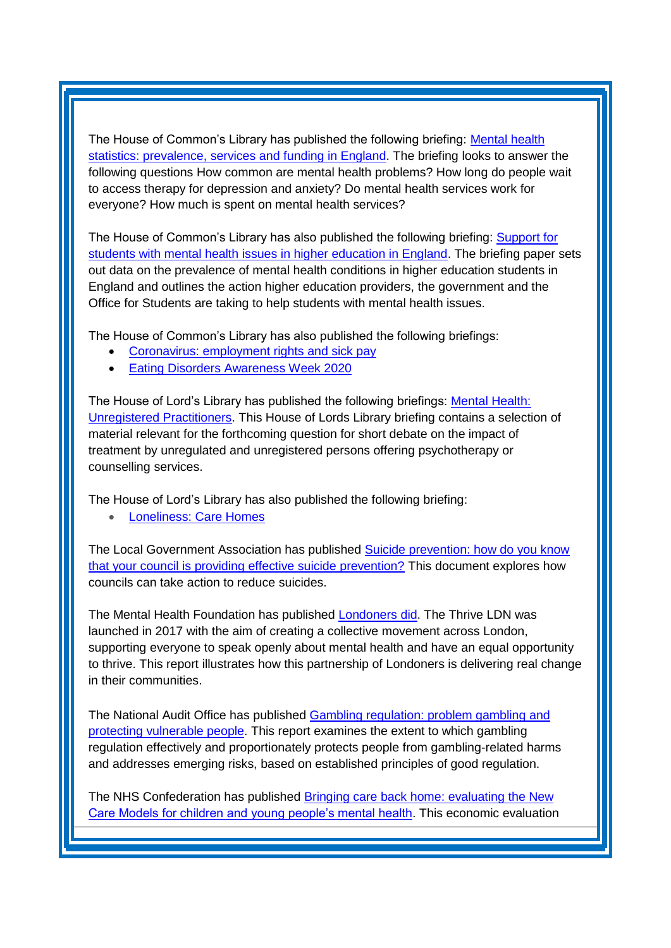The House of Common's Library has published the following briefing: Mental health [statistics: prevalence, services and funding in England.](https://researchbriefings.parliament.uk/ResearchBriefing/Summary/SN06988) The briefing looks to answer the following questions How common are mental health problems? How long do people wait to access therapy for depression and anxiety? Do mental health services work for everyone? How much is spent on mental health services?

The House of Common's Library has also published the following briefing: **Support for** [students with mental health issues in higher education in England.](https://researchbriefings.parliament.uk/ResearchBriefing/Summary/CBP-8593) The briefing paper sets out data on the prevalence of mental health conditions in higher education students in England and outlines the action higher education providers, the government and the Office for Students are taking to help students with mental health issues.

The House of Common's Library has also published the following briefings:

- [Coronavirus: employment rights and sick pay](https://commonslibrary.parliament.uk/social-policy/health/coronavirus-employment-rights-and-sick-pay/)
- [Eating Disorders Awareness Week 2020](https://researchbriefings.parliament.uk/ResearchBriefing/Summary/CDP-2020-0044)

The House of Lord's Library has published the following briefings: [Mental Health:](https://researchbriefings.parliament.uk/ResearchBriefing/Summary/LLN-2020-0065)  [Unregistered Practitioners.](https://researchbriefings.parliament.uk/ResearchBriefing/Summary/LLN-2020-0065) This House of Lords Library briefing contains a selection of material relevant for the forthcoming question for short debate on the impact of treatment by unregulated and unregistered persons offering psychotherapy or counselling services.

The House of Lord's Library has also published the following briefing:

• [Loneliness: Care Homes](https://lordslibrary.parliament.uk/research-briefings/lln-2020-0083/)

The Local Government Association has published [Suicide prevention: how do you know](http://www.local.gov.uk/must-know-suicide-prevention)  [that your council is providing effective suicide prevention?](http://www.local.gov.uk/must-know-suicide-prevention) This document explores how councils can take action to reduce suicides.

The Mental Health Foundation has published [Londoners did.](https://www.mentalhealth.org.uk/publications/londoners-did) The Thrive LDN was launched in 2017 with the aim of creating a collective movement across London, supporting everyone to speak openly about mental health and have an equal opportunity to thrive. This report illustrates how this partnership of Londoners is delivering real change in their communities.

The National Audit Office has published [Gambling regulation: problem gambling and](https://www.nao.org.uk/report/gambling-regulation-problem-gambling-and-protecting-the-vulnerable/)  [protecting vulnerable people.](https://www.nao.org.uk/report/gambling-regulation-problem-gambling-and-protecting-the-vulnerable/) This report examines the extent to which gambling regulation effectively and proportionately protects people from gambling-related harms and addresses emerging risks, based on established principles of good regulation.

The NHS Confederation has published [Bringing care back home:](https://www.nhsconfed.org/resources/2020/03/mhn-bringing-care-home) evaluating the New [Care Models for children and young people's mental health.](https://www.nhsconfed.org/resources/2020/03/mhn-bringing-care-home) This economic evaluation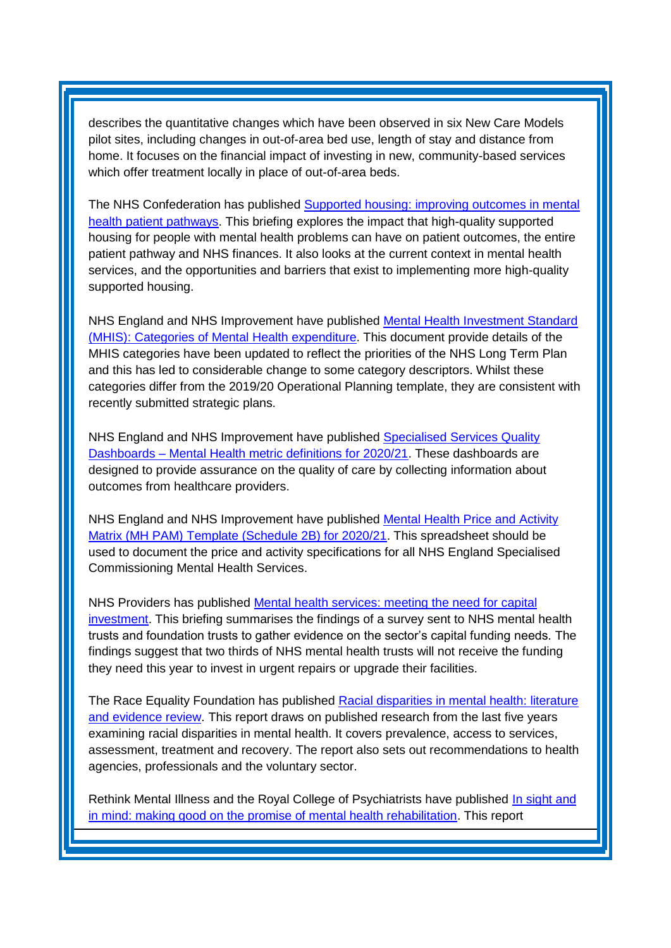describes the quantitative changes which have been observed in six New Care Models pilot sites, including changes in out-of-area bed use, length of stay and distance from home. It focuses on the financial impact of investing in new, community-based services which offer treatment locally in place of out-of-area beds.

The NHS Confederation has published [Supported housing: improving outcomes in mental](https://www.nhsconfed.org/resources/2020/03/supported-housing)  [health patient pathways.](https://www.nhsconfed.org/resources/2020/03/supported-housing) This briefing explores the impact that high-quality supported housing for people with mental health problems can have on patient outcomes, the entire patient pathway and NHS finances. It also looks at the current context in mental health services, and the opportunities and barriers that exist to implementing more high-quality supported housing.

NHS England and NHS Improvement have published [Mental Health Investment Standard](https://www.england.nhs.uk/publication/mental-health-investment-standard-mhis-categories-of-mental-health-expenditure/)  [\(MHIS\): Categories of Mental Health](https://www.england.nhs.uk/publication/mental-health-investment-standard-mhis-categories-of-mental-health-expenditure/) expenditure. This document provide details of the MHIS categories have been updated to reflect the priorities of the NHS Long Term Plan and this has led to considerable change to some category descriptors. Whilst these categories differ from the 2019/20 Operational Planning template, they are consistent with recently submitted strategic plans.

NHS England and NHS Improvement have published [Specialised Services Quality](https://www.england.nhs.uk/publication/specialised-services-quality-dashboards-mental-health-metric-definitions-for-2020-21/)  Dashboards – [Mental Health metric definitions for 2020/21.](https://www.england.nhs.uk/publication/specialised-services-quality-dashboards-mental-health-metric-definitions-for-2020-21/) These dashboards are designed to provide assurance on the quality of care by collecting information about outcomes from healthcare providers.

NHS England and NHS Improvement have published Mental Health Price and Activity [Matrix \(MH PAM\) Template \(Schedule 2B\) for 2020/21.](https://www.england.nhs.uk/publication/mental-health-price-and-activity-matrix-mh-pam-template-schedule-2b-for-2020-21/) This spreadsheet should be used to document the price and activity specifications for all NHS England Specialised Commissioning Mental Health Services.

NHS Providers has published [Mental health services: meeting the need for capital](https://nhsproviders.org/resource-library/briefings/mental-health-services-meeting-the-need-for-capital-investment)  [investment.](https://nhsproviders.org/resource-library/briefings/mental-health-services-meeting-the-need-for-capital-investment) This briefing summarises the findings of a survey sent to NHS mental health trusts and foundation trusts to gather evidence on the sector's capital funding needs. The findings suggest that two thirds of NHS mental health trusts will not receive the funding they need this year to invest in urgent repairs or upgrade their facilities.

The Race Equality Foundation has published [Racial disparities in mental health: literature](https://raceequalityfoundation.org.uk/health-care/mental-health-report-published/)  [and evidence review.](https://raceequalityfoundation.org.uk/health-care/mental-health-report-published/) This report draws on published research from the last five years examining racial disparities in mental health. It covers prevalence, access to services, assessment, treatment and recovery. The report also sets out recommendations to health agencies, professionals and the voluntary sector.

Rethink Mental Illness and the Royal College of Psychiatrists have published [In sight and](https://www.rcpsych.ac.uk/news-and-features/latest-news/detail/2020/02/26/mental-health-rehabilitation-must-be-transformed-so-most-vulnerable-are-no-longer-invisible-in-the-system)  [in mind: making good on the promise of mental health rehabilitation.](https://www.rcpsych.ac.uk/news-and-features/latest-news/detail/2020/02/26/mental-health-rehabilitation-must-be-transformed-so-most-vulnerable-are-no-longer-invisible-in-the-system) This report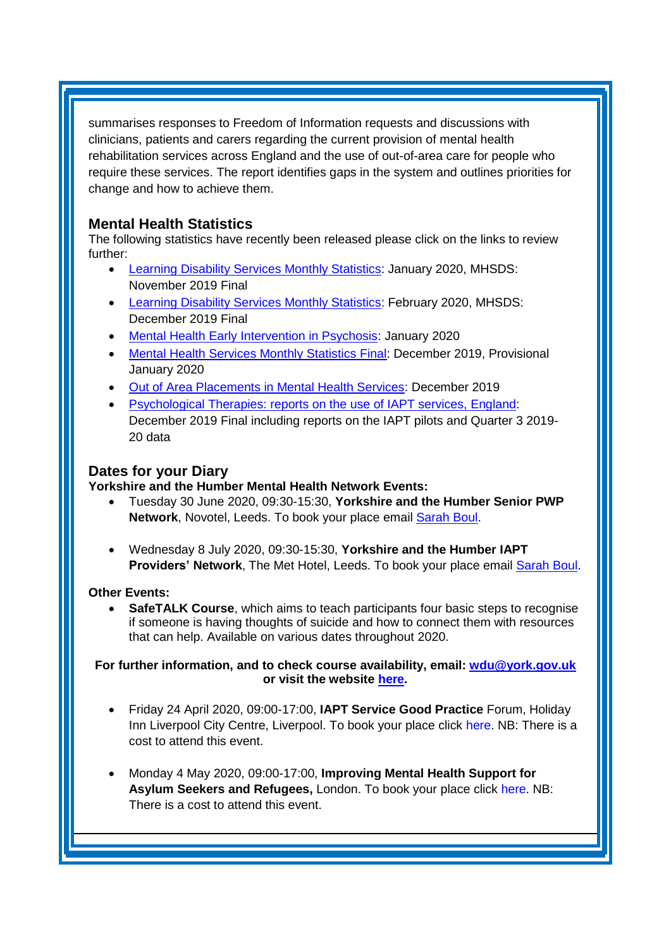summarises responses to Freedom of Information requests and discussions with clinicians, patients and carers regarding the current provision of mental health rehabilitation services across England and the use of out-of-area care for people who require these services. The report identifies gaps in the system and outlines priorities for change and how to achieve them.

## <span id="page-5-0"></span>**Mental Health Statistics**

The following statistics have recently been released please click on the links to review further:

- <span id="page-5-1"></span>• [Learning Disability Services Monthly Statistics:](https://digital.nhs.uk/data-and-information/publications/statistical/learning-disability-services-statistics/at-january-2020-mhsds-november-2019-final) January 2020, MHSDS: November 2019 Final
- [Learning Disability Services Monthly Statistics:](https://digital.nhs.uk/data-and-information/publications/statistical/learning-disability-services-statistics/provisional-statistics-at-february-2020-mhsds-december-2019-final) February 2020, MHSDS: December 2019 Final
- [Mental Health Early Intervention in Psychosis:](https://www.gov.uk/government/statistics/mental-health-early-intervention-in-psychosis-for-january-2020) January 2020
- [Mental Health Services Monthly Statistics Final:](https://digital.nhs.uk/data-and-information/publications/statistical/mental-health-services-monthly-statistics/final-december-2019-provisional-january-2020) December 2019, Provisional January 2020
- [Out of Area Placements in Mental Health Services:](https://digital.nhs.uk/data-and-information/publications/statistical/out-of-area-placements-in-mental-health-services/december-2019) December 2019
- [Psychological Therapies: reports on the use of IAPT services, England:](https://digital.nhs.uk/data-and-information/publications/statistical/psychological-therapies-report-on-the-use-of-iapt-services/december-2019-final-including-reports-on-the-iapt-pilots-and-quarter-3-2019-20-data) December 2019 Final including reports on the IAPT pilots and Quarter 3 2019- 20 data

## **Dates for your Diary**

### **Yorkshire and the Humber Mental Health Network Events:**

- Tuesday 30 June 2020, 09:30-15:30, **Yorkshire and the Humber Senior PWP**  Network, Novotel, Leeds. To book your place email **Sarah Boul.**
- Wednesday 8 July 2020, 09:30-15:30, **Yorkshire and the Humber IAPT Providers' Network**, The Met Hotel, Leeds. To book your place email [Sarah Boul.](mailto:sarah.boul@nhs.net)

### **Other Events:**

**SafeTALK Course**, which aims to teach participants four basic steps to recognise if someone is having thoughts of suicide and how to connect them with resources that can help. Available on various dates throughout 2020.

**For further information, and to check course availability, email: [wdu@york.gov.uk](mailto:wdu@york.gov.uk) or visit the website [here.](http://www.yorkworkforcedevelopment.org.uk/)**

- Friday 24 April 2020, 09:00-17:00, **IAPT Service Good Practice** Forum, Holiday Inn Liverpool City Centre, Liverpool. To book your place click [here.](https://nnfevents.co.uk/1SB0-6OH7B-MCTTTA-3WNUV4-1/c.aspx) NB: There is a cost to attend this event.
- Monday 4 May 2020, 09:00-17:00, **Improving Mental Health Support for Asylum Seekers and Refugees,** London. To book your place click [here.](https://www.healthcareconferencesuk.co.uk/conferences-masterclasses/improving-mental-health-support-for-asylum-seekers-and-refugees?utm_medium=email&utm_source=HCUKKT%20&utm_campaign=Refugee%200520) NB: There is a cost to attend this event.